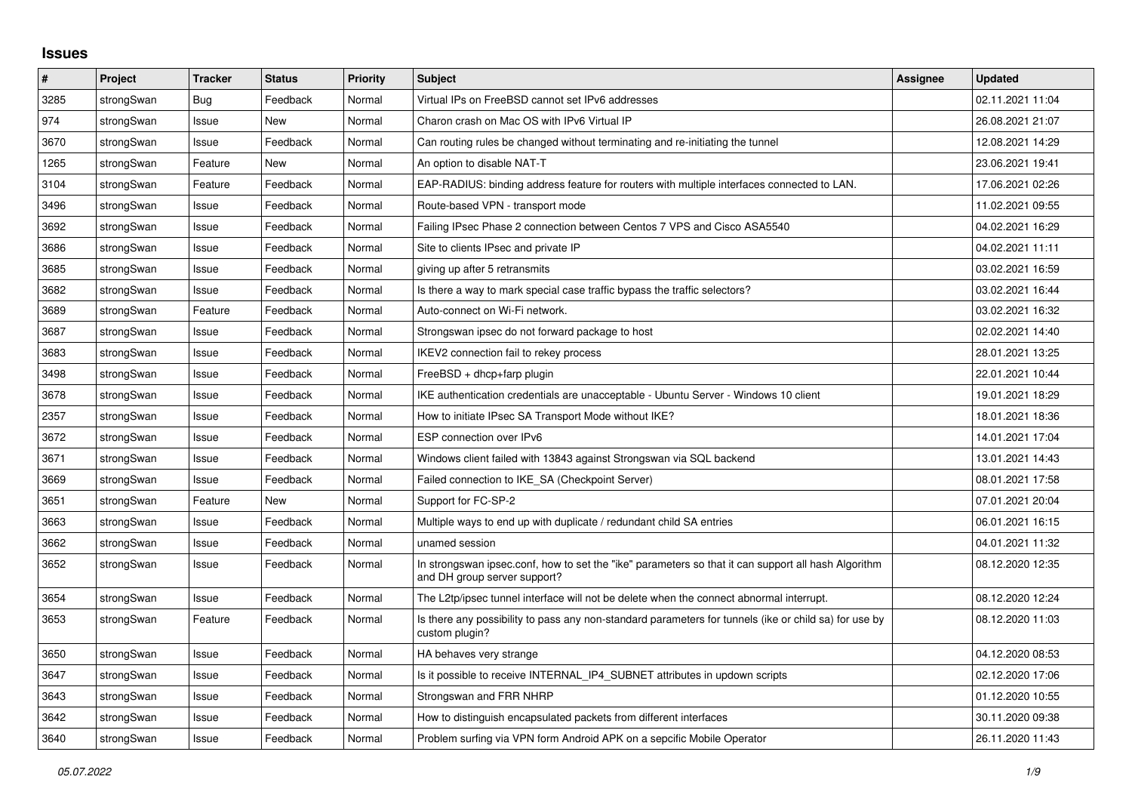## **Issues**

| #    | Project    | <b>Tracker</b> | <b>Status</b> | <b>Priority</b> | <b>Subject</b>                                                                                                                      | <b>Assignee</b> | <b>Updated</b>   |
|------|------------|----------------|---------------|-----------------|-------------------------------------------------------------------------------------------------------------------------------------|-----------------|------------------|
| 3285 | strongSwan | Bug            | Feedback      | Normal          | Virtual IPs on FreeBSD cannot set IPv6 addresses                                                                                    |                 | 02.11.2021 11:04 |
| 974  | strongSwan | Issue          | New           | Normal          | Charon crash on Mac OS with IPv6 Virtual IP                                                                                         |                 | 26.08.2021 21:07 |
| 3670 | strongSwan | Issue          | Feedback      | Normal          | Can routing rules be changed without terminating and re-initiating the tunnel                                                       |                 | 12.08.2021 14:29 |
| 1265 | strongSwan | Feature        | <b>New</b>    | Normal          | An option to disable NAT-T                                                                                                          |                 | 23.06.2021 19:41 |
| 3104 | strongSwan | Feature        | Feedback      | Normal          | EAP-RADIUS: binding address feature for routers with multiple interfaces connected to LAN.                                          |                 | 17.06.2021 02:26 |
| 3496 | strongSwan | Issue          | Feedback      | Normal          | Route-based VPN - transport mode                                                                                                    |                 | 11.02.2021 09:55 |
| 3692 | strongSwan | Issue          | Feedback      | Normal          | Failing IPsec Phase 2 connection between Centos 7 VPS and Cisco ASA5540                                                             |                 | 04.02.2021 16:29 |
| 3686 | strongSwan | Issue          | Feedback      | Normal          | Site to clients IPsec and private IP                                                                                                |                 | 04.02.2021 11:11 |
| 3685 | strongSwan | Issue          | Feedback      | Normal          | giving up after 5 retransmits                                                                                                       |                 | 03.02.2021 16:59 |
| 3682 | strongSwan | Issue          | Feedback      | Normal          | Is there a way to mark special case traffic bypass the traffic selectors?                                                           |                 | 03.02.2021 16:44 |
| 3689 | strongSwan | Feature        | Feedback      | Normal          | Auto-connect on Wi-Fi network.                                                                                                      |                 | 03.02.2021 16:32 |
| 3687 | strongSwan | Issue          | Feedback      | Normal          | Strongswan ipsec do not forward package to host                                                                                     |                 | 02.02.2021 14:40 |
| 3683 | strongSwan | Issue          | Feedback      | Normal          | IKEV2 connection fail to rekey process                                                                                              |                 | 28.01.2021 13:25 |
| 3498 | strongSwan | Issue          | Feedback      | Normal          | $FreeBSD + dhcp + farp plugin$                                                                                                      |                 | 22.01.2021 10:44 |
| 3678 | strongSwan | Issue          | Feedback      | Normal          | IKE authentication credentials are unacceptable - Ubuntu Server - Windows 10 client                                                 |                 | 19.01.2021 18:29 |
| 2357 | strongSwan | Issue          | Feedback      | Normal          | How to initiate IPsec SA Transport Mode without IKE?                                                                                |                 | 18.01.2021 18:36 |
| 3672 | strongSwan | Issue          | Feedback      | Normal          | ESP connection over IPv6                                                                                                            |                 | 14.01.2021 17:04 |
| 3671 | strongSwan | Issue          | Feedback      | Normal          | Windows client failed with 13843 against Strongswan via SQL backend                                                                 |                 | 13.01.2021 14:43 |
| 3669 | strongSwan | Issue          | Feedback      | Normal          | Failed connection to IKE SA (Checkpoint Server)                                                                                     |                 | 08.01.2021 17:58 |
| 3651 | strongSwan | Feature        | New           | Normal          | Support for FC-SP-2                                                                                                                 |                 | 07.01.2021 20:04 |
| 3663 | strongSwan | Issue          | Feedback      | Normal          | Multiple ways to end up with duplicate / redundant child SA entries                                                                 |                 | 06.01.2021 16:15 |
| 3662 | strongSwan | Issue          | Feedback      | Normal          | unamed session                                                                                                                      |                 | 04.01.2021 11:32 |
| 3652 | strongSwan | Issue          | Feedback      | Normal          | In strongswan ipsec.conf, how to set the "ike" parameters so that it can support all hash Algorithm<br>and DH group server support? |                 | 08.12.2020 12:35 |
| 3654 | strongSwan | Issue          | Feedback      | Normal          | The L2tp/ipsec tunnel interface will not be delete when the connect abnormal interrupt.                                             |                 | 08.12.2020 12:24 |
| 3653 | strongSwan | Feature        | Feedback      | Normal          | Is there any possibility to pass any non-standard parameters for tunnels (ike or child sa) for use by<br>custom plugin?             |                 | 08.12.2020 11:03 |
| 3650 | strongSwan | Issue          | Feedback      | Normal          | HA behaves very strange                                                                                                             |                 | 04.12.2020 08:53 |
| 3647 | strongSwan | Issue          | Feedback      | Normal          | Is it possible to receive INTERNAL_IP4_SUBNET attributes in updown scripts                                                          |                 | 02.12.2020 17:06 |
| 3643 | strongSwan | Issue          | Feedback      | Normal          | Strongswan and FRR NHRP                                                                                                             |                 | 01.12.2020 10:55 |
| 3642 | strongSwan | Issue          | Feedback      | Normal          | How to distinguish encapsulated packets from different interfaces                                                                   |                 | 30.11.2020 09:38 |
| 3640 | strongSwan | Issue          | Feedback      | Normal          | Problem surfing via VPN form Android APK on a sepcific Mobile Operator                                                              |                 | 26.11.2020 11:43 |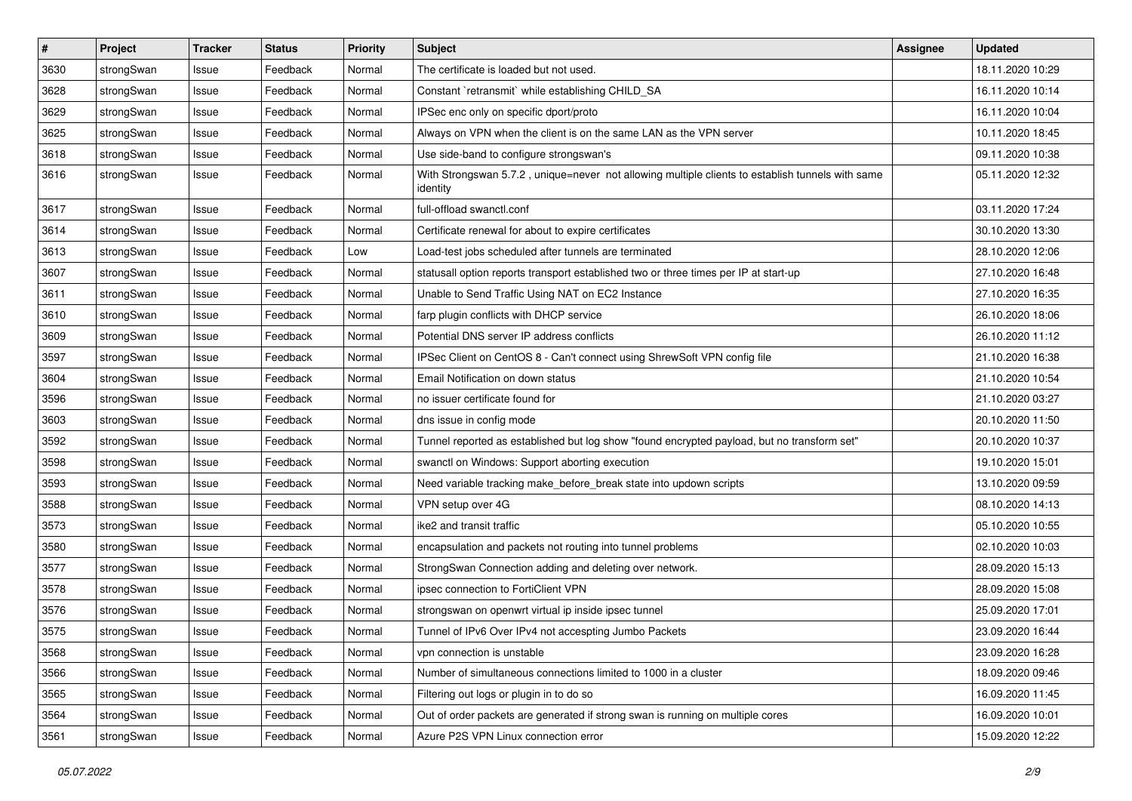| $\sharp$ | Project    | <b>Tracker</b> | <b>Status</b> | <b>Priority</b> | <b>Subject</b>                                                                                               | <b>Assignee</b> | <b>Updated</b>   |
|----------|------------|----------------|---------------|-----------------|--------------------------------------------------------------------------------------------------------------|-----------------|------------------|
| 3630     | strongSwan | Issue          | Feedback      | Normal          | The certificate is loaded but not used.                                                                      |                 | 18.11.2020 10:29 |
| 3628     | strongSwan | Issue          | Feedback      | Normal          | Constant `retransmit` while establishing CHILD_SA                                                            |                 | 16.11.2020 10:14 |
| 3629     | strongSwan | Issue          | Feedback      | Normal          | IPSec enc only on specific dport/proto                                                                       |                 | 16.11.2020 10:04 |
| 3625     | strongSwan | Issue          | Feedback      | Normal          | Always on VPN when the client is on the same LAN as the VPN server                                           |                 | 10.11.2020 18:45 |
| 3618     | strongSwan | Issue          | Feedback      | Normal          | Use side-band to configure strongswan's                                                                      |                 | 09.11.2020 10:38 |
| 3616     | strongSwan | Issue          | Feedback      | Normal          | With Strongswan 5.7.2, unique=never not allowing multiple clients to establish tunnels with same<br>identity |                 | 05.11.2020 12:32 |
| 3617     | strongSwan | Issue          | Feedback      | Normal          | full-offload swanctl.conf                                                                                    |                 | 03.11.2020 17:24 |
| 3614     | strongSwan | Issue          | Feedback      | Normal          | Certificate renewal for about to expire certificates                                                         |                 | 30.10.2020 13:30 |
| 3613     | strongSwan | Issue          | Feedback      | Low             | Load-test jobs scheduled after tunnels are terminated                                                        |                 | 28.10.2020 12:06 |
| 3607     | strongSwan | Issue          | Feedback      | Normal          | statusall option reports transport established two or three times per IP at start-up                         |                 | 27.10.2020 16:48 |
| 3611     | strongSwan | Issue          | Feedback      | Normal          | Unable to Send Traffic Using NAT on EC2 Instance                                                             |                 | 27.10.2020 16:35 |
| 3610     | strongSwan | Issue          | Feedback      | Normal          | farp plugin conflicts with DHCP service                                                                      |                 | 26.10.2020 18:06 |
| 3609     | strongSwan | Issue          | Feedback      | Normal          | Potential DNS server IP address conflicts                                                                    |                 | 26.10.2020 11:12 |
| 3597     | strongSwan | Issue          | Feedback      | Normal          | IPSec Client on CentOS 8 - Can't connect using ShrewSoft VPN config file                                     |                 | 21.10.2020 16:38 |
| 3604     | strongSwan | Issue          | Feedback      | Normal          | Email Notification on down status                                                                            |                 | 21.10.2020 10:54 |
| 3596     | strongSwan | Issue          | Feedback      | Normal          | no issuer certificate found for                                                                              |                 | 21.10.2020 03:27 |
| 3603     | strongSwan | Issue          | Feedback      | Normal          | dns issue in config mode                                                                                     |                 | 20.10.2020 11:50 |
| 3592     | strongSwan | Issue          | Feedback      | Normal          | Tunnel reported as established but log show "found encrypted payload, but no transform set"                  |                 | 20.10.2020 10:37 |
| 3598     | strongSwan | Issue          | Feedback      | Normal          | swanctl on Windows: Support aborting execution                                                               |                 | 19.10.2020 15:01 |
| 3593     | strongSwan | Issue          | Feedback      | Normal          | Need variable tracking make_before_break state into updown scripts                                           |                 | 13.10.2020 09:59 |
| 3588     | strongSwan | Issue          | Feedback      | Normal          | VPN setup over 4G                                                                                            |                 | 08.10.2020 14:13 |
| 3573     | strongSwan | Issue          | Feedback      | Normal          | ike2 and transit traffic                                                                                     |                 | 05.10.2020 10:55 |
| 3580     | strongSwan | Issue          | Feedback      | Normal          | encapsulation and packets not routing into tunnel problems                                                   |                 | 02.10.2020 10:03 |
| 3577     | strongSwan | Issue          | Feedback      | Normal          | StrongSwan Connection adding and deleting over network.                                                      |                 | 28.09.2020 15:13 |
| 3578     | strongSwan | Issue          | Feedback      | Normal          | ipsec connection to FortiClient VPN                                                                          |                 | 28.09.2020 15:08 |
| 3576     | strongSwan | Issue          | Feedback      | Normal          | strongswan on openwrt virtual ip inside ipsec tunnel                                                         |                 | 25.09.2020 17:01 |
| 3575     | strongSwan | Issue          | Feedback      | Normal          | Tunnel of IPv6 Over IPv4 not accespting Jumbo Packets                                                        |                 | 23.09.2020 16:44 |
| 3568     | strongSwan | Issue          | Feedback      | Normal          | vpn connection is unstable                                                                                   |                 | 23.09.2020 16:28 |
| 3566     | strongSwan | Issue          | Feedback      | Normal          | Number of simultaneous connections limited to 1000 in a cluster                                              |                 | 18.09.2020 09:46 |
| 3565     | strongSwan | Issue          | Feedback      | Normal          | Filtering out logs or plugin in to do so                                                                     |                 | 16.09.2020 11:45 |
| 3564     | strongSwan | Issue          | Feedback      | Normal          | Out of order packets are generated if strong swan is running on multiple cores                               |                 | 16.09.2020 10:01 |
| 3561     | strongSwan | Issue          | Feedback      | Normal          | Azure P2S VPN Linux connection error                                                                         |                 | 15.09.2020 12:22 |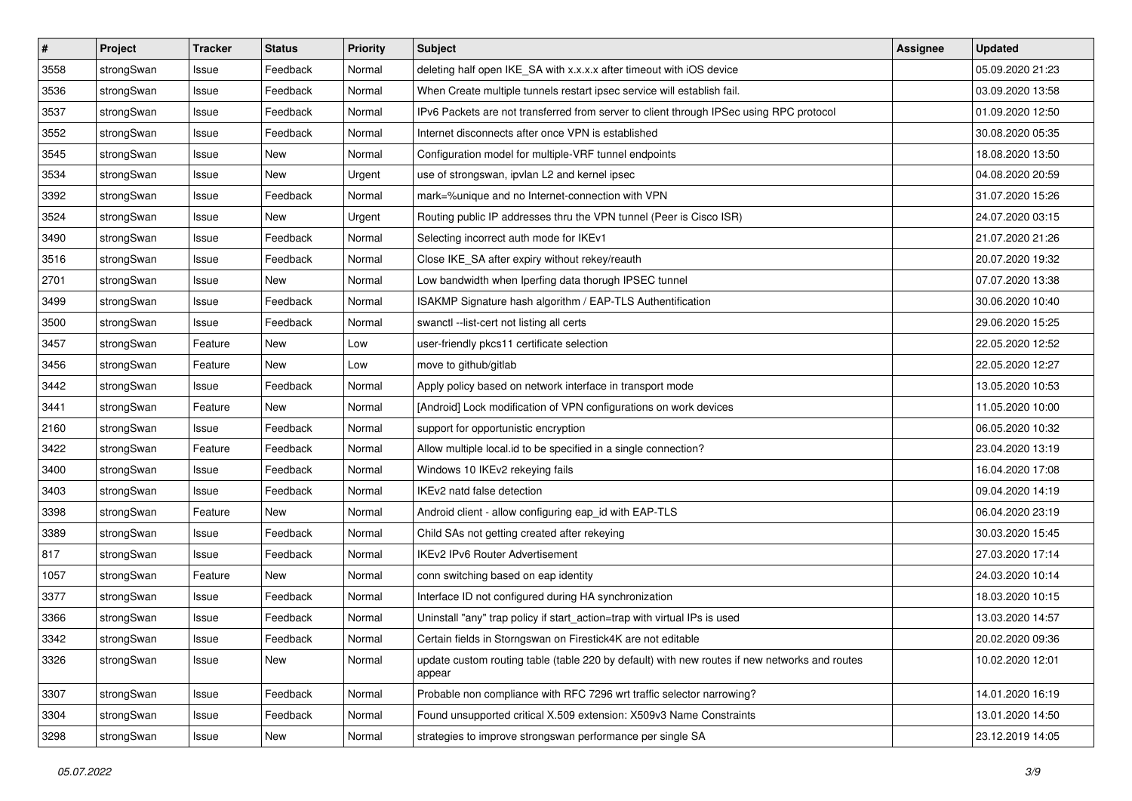| $\pmb{\#}$ | Project    | <b>Tracker</b> | <b>Status</b> | <b>Priority</b> | <b>Subject</b>                                                                                          | <b>Assignee</b> | <b>Updated</b>   |
|------------|------------|----------------|---------------|-----------------|---------------------------------------------------------------------------------------------------------|-----------------|------------------|
| 3558       | strongSwan | Issue          | Feedback      | Normal          | deleting half open IKE_SA with x.x.x.x after timeout with iOS device                                    |                 | 05.09.2020 21:23 |
| 3536       | strongSwan | Issue          | Feedback      | Normal          | When Create multiple tunnels restart ipsec service will establish fail.                                 |                 | 03.09.2020 13:58 |
| 3537       | strongSwan | Issue          | Feedback      | Normal          | IPv6 Packets are not transferred from server to client through IPSec using RPC protocol                 |                 | 01.09.2020 12:50 |
| 3552       | strongSwan | Issue          | Feedback      | Normal          | Internet disconnects after once VPN is established                                                      |                 | 30.08.2020 05:35 |
| 3545       | strongSwan | Issue          | New           | Normal          | Configuration model for multiple-VRF tunnel endpoints                                                   |                 | 18.08.2020 13:50 |
| 3534       | strongSwan | Issue          | New           | Urgent          | use of strongswan, ipvlan L2 and kernel ipsec                                                           |                 | 04.08.2020 20:59 |
| 3392       | strongSwan | Issue          | Feedback      | Normal          | mark=%unique and no Internet-connection with VPN                                                        |                 | 31.07.2020 15:26 |
| 3524       | strongSwan | Issue          | New           | Urgent          | Routing public IP addresses thru the VPN tunnel (Peer is Cisco ISR)                                     |                 | 24.07.2020 03:15 |
| 3490       | strongSwan | Issue          | Feedback      | Normal          | Selecting incorrect auth mode for IKEv1                                                                 |                 | 21.07.2020 21:26 |
| 3516       | strongSwan | Issue          | Feedback      | Normal          | Close IKE_SA after expiry without rekey/reauth                                                          |                 | 20.07.2020 19:32 |
| 2701       | strongSwan | Issue          | New           | Normal          | Low bandwidth when Iperfing data thorugh IPSEC tunnel                                                   |                 | 07.07.2020 13:38 |
| 3499       | strongSwan | Issue          | Feedback      | Normal          | ISAKMP Signature hash algorithm / EAP-TLS Authentification                                              |                 | 30.06.2020 10:40 |
| 3500       | strongSwan | Issue          | Feedback      | Normal          | swanctl --list-cert not listing all certs                                                               |                 | 29.06.2020 15:25 |
| 3457       | strongSwan | Feature        | New           | Low             | user-friendly pkcs11 certificate selection                                                              |                 | 22.05.2020 12:52 |
| 3456       | strongSwan | Feature        | New           | Low             | move to github/gitlab                                                                                   |                 | 22.05.2020 12:27 |
| 3442       | strongSwan | Issue          | Feedback      | Normal          | Apply policy based on network interface in transport mode                                               |                 | 13.05.2020 10:53 |
| 3441       | strongSwan | Feature        | New           | Normal          | [Android] Lock modification of VPN configurations on work devices                                       |                 | 11.05.2020 10:00 |
| 2160       | strongSwan | Issue          | Feedback      | Normal          | support for opportunistic encryption                                                                    |                 | 06.05.2020 10:32 |
| 3422       | strongSwan | Feature        | Feedback      | Normal          | Allow multiple local.id to be specified in a single connection?                                         |                 | 23.04.2020 13:19 |
| 3400       | strongSwan | Issue          | Feedback      | Normal          | Windows 10 IKEv2 rekeying fails                                                                         |                 | 16.04.2020 17:08 |
| 3403       | strongSwan | Issue          | Feedback      | Normal          | IKEv2 natd false detection                                                                              |                 | 09.04.2020 14:19 |
| 3398       | strongSwan | Feature        | New           | Normal          | Android client - allow configuring eap_id with EAP-TLS                                                  |                 | 06.04.2020 23:19 |
| 3389       | strongSwan | Issue          | Feedback      | Normal          | Child SAs not getting created after rekeying                                                            |                 | 30.03.2020 15:45 |
| 817        | strongSwan | Issue          | Feedback      | Normal          | IKEv2 IPv6 Router Advertisement                                                                         |                 | 27.03.2020 17:14 |
| 1057       | strongSwan | Feature        | New           | Normal          | conn switching based on eap identity                                                                    |                 | 24.03.2020 10:14 |
| 3377       | strongSwan | Issue          | Feedback      | Normal          | Interface ID not configured during HA synchronization                                                   |                 | 18.03.2020 10:15 |
| 3366       | strongSwan | Issue          | Feedback      | Normal          | Uninstall "any" trap policy if start_action=trap with virtual IPs is used                               |                 | 13.03.2020 14:57 |
| 3342       | strongSwan | Issue          | Feedback      | Normal          | Certain fields in Storngswan on Firestick4K are not editable                                            |                 | 20.02.2020 09:36 |
| 3326       | strongSwan | Issue          | New           | Normal          | update custom routing table (table 220 by default) with new routes if new networks and routes<br>appear |                 | 10.02.2020 12:01 |
| 3307       | strongSwan | Issue          | Feedback      | Normal          | Probable non compliance with RFC 7296 wrt traffic selector narrowing?                                   |                 | 14.01.2020 16:19 |
| 3304       | strongSwan | Issue          | Feedback      | Normal          | Found unsupported critical X.509 extension: X509v3 Name Constraints                                     |                 | 13.01.2020 14:50 |
| 3298       | strongSwan | Issue          | New           | Normal          | strategies to improve strongswan performance per single SA                                              |                 | 23.12.2019 14:05 |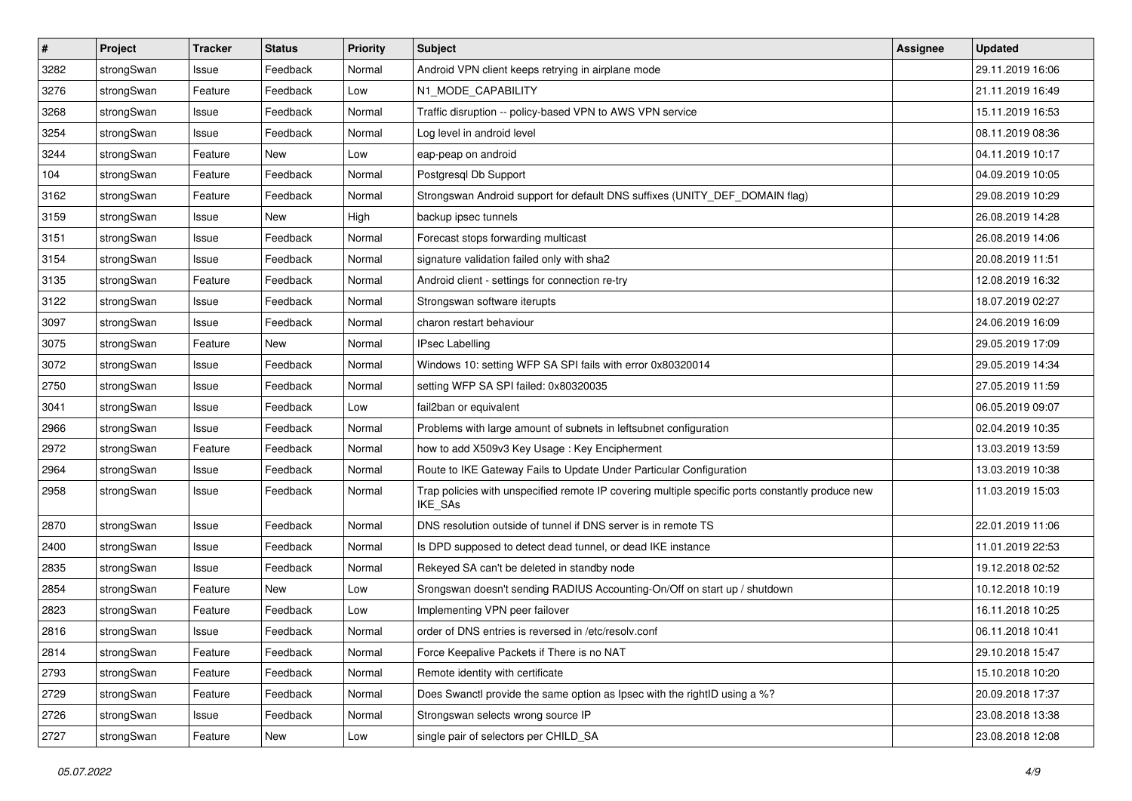| $\sharp$ | Project    | <b>Tracker</b> | <b>Status</b> | <b>Priority</b> | <b>Subject</b>                                                                                              | <b>Assignee</b> | <b>Updated</b>   |
|----------|------------|----------------|---------------|-----------------|-------------------------------------------------------------------------------------------------------------|-----------------|------------------|
| 3282     | strongSwan | Issue          | Feedback      | Normal          | Android VPN client keeps retrying in airplane mode                                                          |                 | 29.11.2019 16:06 |
| 3276     | strongSwan | Feature        | Feedback      | Low             | N1_MODE_CAPABILITY                                                                                          |                 | 21.11.2019 16:49 |
| 3268     | strongSwan | Issue          | Feedback      | Normal          | Traffic disruption -- policy-based VPN to AWS VPN service                                                   |                 | 15.11.2019 16:53 |
| 3254     | strongSwan | Issue          | Feedback      | Normal          | Log level in android level                                                                                  |                 | 08.11.2019 08:36 |
| 3244     | strongSwan | Feature        | New           | Low             | eap-peap on android                                                                                         |                 | 04.11.2019 10:17 |
| 104      | strongSwan | Feature        | Feedback      | Normal          | Postgresql Db Support                                                                                       |                 | 04.09.2019 10:05 |
| 3162     | strongSwan | Feature        | Feedback      | Normal          | Strongswan Android support for default DNS suffixes (UNITY_DEF_DOMAIN flag)                                 |                 | 29.08.2019 10:29 |
| 3159     | strongSwan | Issue          | New           | High            | backup ipsec tunnels                                                                                        |                 | 26.08.2019 14:28 |
| 3151     | strongSwan | Issue          | Feedback      | Normal          | Forecast stops forwarding multicast                                                                         |                 | 26.08.2019 14:06 |
| 3154     | strongSwan | Issue          | Feedback      | Normal          | signature validation failed only with sha2                                                                  |                 | 20.08.2019 11:51 |
| 3135     | strongSwan | Feature        | Feedback      | Normal          | Android client - settings for connection re-try                                                             |                 | 12.08.2019 16:32 |
| 3122     | strongSwan | Issue          | Feedback      | Normal          | Strongswan software iterupts                                                                                |                 | 18.07.2019 02:27 |
| 3097     | strongSwan | Issue          | Feedback      | Normal          | charon restart behaviour                                                                                    |                 | 24.06.2019 16:09 |
| 3075     | strongSwan | Feature        | New           | Normal          | <b>IPsec Labelling</b>                                                                                      |                 | 29.05.2019 17:09 |
| 3072     | strongSwan | Issue          | Feedback      | Normal          | Windows 10: setting WFP SA SPI fails with error 0x80320014                                                  |                 | 29.05.2019 14:34 |
| 2750     | strongSwan | Issue          | Feedback      | Normal          | setting WFP SA SPI failed: 0x80320035                                                                       |                 | 27.05.2019 11:59 |
| 3041     | strongSwan | Issue          | Feedback      | Low             | fail2ban or equivalent                                                                                      |                 | 06.05.2019 09:07 |
| 2966     | strongSwan | Issue          | Feedback      | Normal          | Problems with large amount of subnets in leftsubnet configuration                                           |                 | 02.04.2019 10:35 |
| 2972     | strongSwan | Feature        | Feedback      | Normal          | how to add X509v3 Key Usage: Key Encipherment                                                               |                 | 13.03.2019 13:59 |
| 2964     | strongSwan | Issue          | Feedback      | Normal          | Route to IKE Gateway Fails to Update Under Particular Configuration                                         |                 | 13.03.2019 10:38 |
| 2958     | strongSwan | Issue          | Feedback      | Normal          | Trap policies with unspecified remote IP covering multiple specific ports constantly produce new<br>IKE_SAs |                 | 11.03.2019 15:03 |
| 2870     | strongSwan | Issue          | Feedback      | Normal          | DNS resolution outside of tunnel if DNS server is in remote TS                                              |                 | 22.01.2019 11:06 |
| 2400     | strongSwan | Issue          | Feedback      | Normal          | Is DPD supposed to detect dead tunnel, or dead IKE instance                                                 |                 | 11.01.2019 22:53 |
| 2835     | strongSwan | Issue          | Feedback      | Normal          | Rekeyed SA can't be deleted in standby node                                                                 |                 | 19.12.2018 02:52 |
| 2854     | strongSwan | Feature        | New           | Low             | Srongswan doesn't sending RADIUS Accounting-On/Off on start up / shutdown                                   |                 | 10.12.2018 10:19 |
| 2823     | strongSwan | Feature        | Feedback      | Low             | Implementing VPN peer failover                                                                              |                 | 16.11.2018 10:25 |
| 2816     | strongSwan | Issue          | Feedback      | Normal          | order of DNS entries is reversed in /etc/resolv.conf                                                        |                 | 06.11.2018 10:41 |
| 2814     | strongSwan | Feature        | Feedback      | Normal          | Force Keepalive Packets if There is no NAT                                                                  |                 | 29.10.2018 15:47 |
| 2793     | strongSwan | Feature        | Feedback      | Normal          | Remote identity with certificate                                                                            |                 | 15.10.2018 10:20 |
| 2729     | strongSwan | Feature        | Feedback      | Normal          | Does Swanctl provide the same option as Ipsec with the rightID using a %?                                   |                 | 20.09.2018 17:37 |
| 2726     | strongSwan | Issue          | Feedback      | Normal          | Strongswan selects wrong source IP                                                                          |                 | 23.08.2018 13:38 |
| 2727     | strongSwan | Feature        | New           | Low             | single pair of selectors per CHILD_SA                                                                       |                 | 23.08.2018 12:08 |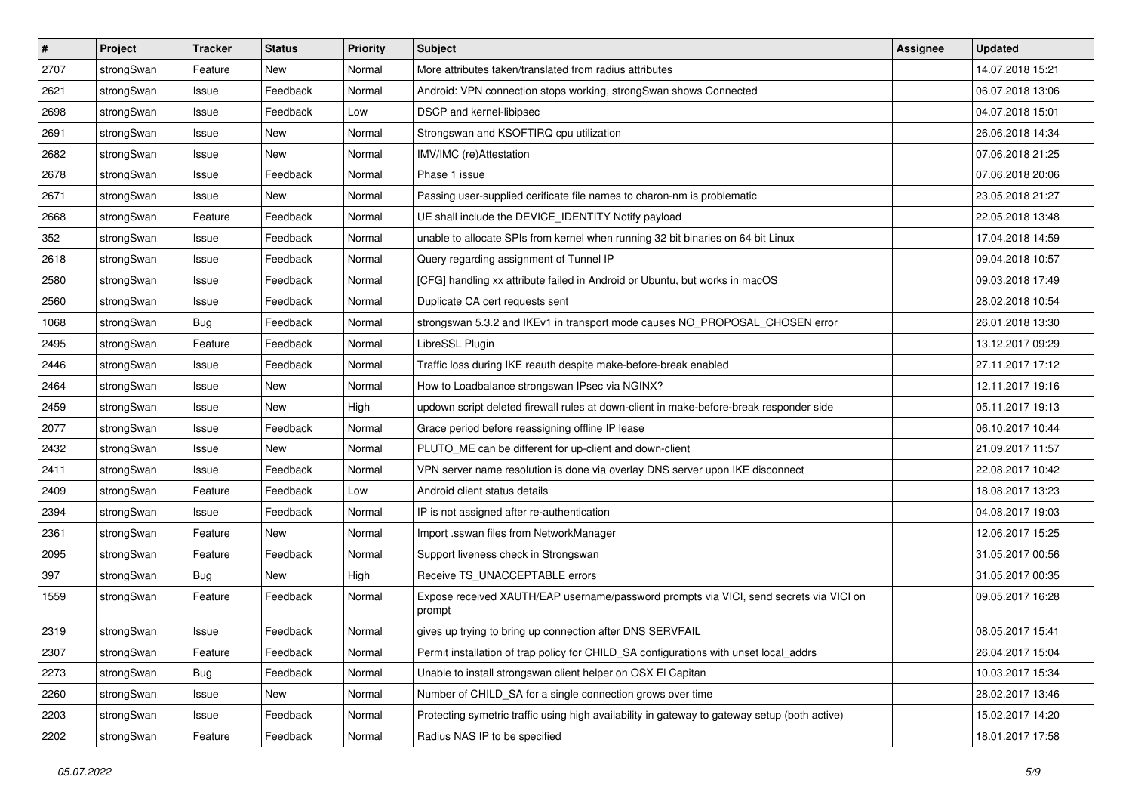| $\pmb{\#}$ | Project    | <b>Tracker</b> | <b>Status</b> | <b>Priority</b> | <b>Subject</b>                                                                                   | <b>Assignee</b> | <b>Updated</b>   |
|------------|------------|----------------|---------------|-----------------|--------------------------------------------------------------------------------------------------|-----------------|------------------|
| 2707       | strongSwan | Feature        | New           | Normal          | More attributes taken/translated from radius attributes                                          |                 | 14.07.2018 15:21 |
| 2621       | strongSwan | Issue          | Feedback      | Normal          | Android: VPN connection stops working, strongSwan shows Connected                                |                 | 06.07.2018 13:06 |
| 2698       | strongSwan | Issue          | Feedback      | Low             | DSCP and kernel-libipsec                                                                         |                 | 04.07.2018 15:01 |
| 2691       | strongSwan | Issue          | New           | Normal          | Strongswan and KSOFTIRQ cpu utilization                                                          |                 | 26.06.2018 14:34 |
| 2682       | strongSwan | Issue          | <b>New</b>    | Normal          | IMV/IMC (re)Attestation                                                                          |                 | 07.06.2018 21:25 |
| 2678       | strongSwan | Issue          | Feedback      | Normal          | Phase 1 issue                                                                                    |                 | 07.06.2018 20:06 |
| 2671       | strongSwan | Issue          | New           | Normal          | Passing user-supplied cerificate file names to charon-nm is problematic                          |                 | 23.05.2018 21:27 |
| 2668       | strongSwan | Feature        | Feedback      | Normal          | UE shall include the DEVICE_IDENTITY Notify payload                                              |                 | 22.05.2018 13:48 |
| 352        | strongSwan | Issue          | Feedback      | Normal          | unable to allocate SPIs from kernel when running 32 bit binaries on 64 bit Linux                 |                 | 17.04.2018 14:59 |
| 2618       | strongSwan | Issue          | Feedback      | Normal          | Query regarding assignment of Tunnel IP                                                          |                 | 09.04.2018 10:57 |
| 2580       | strongSwan | Issue          | Feedback      | Normal          | [CFG] handling xx attribute failed in Android or Ubuntu, but works in macOS                      |                 | 09.03.2018 17:49 |
| 2560       | strongSwan | Issue          | Feedback      | Normal          | Duplicate CA cert requests sent                                                                  |                 | 28.02.2018 10:54 |
| 1068       | strongSwan | Bug            | Feedback      | Normal          | strongswan 5.3.2 and IKEv1 in transport mode causes NO_PROPOSAL_CHOSEN error                     |                 | 26.01.2018 13:30 |
| 2495       | strongSwan | Feature        | Feedback      | Normal          | LibreSSL Plugin                                                                                  |                 | 13.12.2017 09:29 |
| 2446       | strongSwan | Issue          | Feedback      | Normal          | Traffic loss during IKE reauth despite make-before-break enabled                                 |                 | 27.11.2017 17:12 |
| 2464       | strongSwan | Issue          | New           | Normal          | How to Loadbalance strongswan IPsec via NGINX?                                                   |                 | 12.11.2017 19:16 |
| 2459       | strongSwan | Issue          | New           | High            | updown script deleted firewall rules at down-client in make-before-break responder side          |                 | 05.11.2017 19:13 |
| 2077       | strongSwan | Issue          | Feedback      | Normal          | Grace period before reassigning offline IP lease                                                 |                 | 06.10.2017 10:44 |
| 2432       | strongSwan | Issue          | New           | Normal          | PLUTO_ME can be different for up-client and down-client                                          |                 | 21.09.2017 11:57 |
| 2411       | strongSwan | Issue          | Feedback      | Normal          | VPN server name resolution is done via overlay DNS server upon IKE disconnect                    |                 | 22.08.2017 10:42 |
| 2409       | strongSwan | Feature        | Feedback      | Low             | Android client status details                                                                    |                 | 18.08.2017 13:23 |
| 2394       | strongSwan | Issue          | Feedback      | Normal          | IP is not assigned after re-authentication                                                       |                 | 04.08.2017 19:03 |
| 2361       | strongSwan | Feature        | New           | Normal          | Import .sswan files from NetworkManager                                                          |                 | 12.06.2017 15:25 |
| 2095       | strongSwan | Feature        | Feedback      | Normal          | Support liveness check in Strongswan                                                             |                 | 31.05.2017 00:56 |
| 397        | strongSwan | <b>Bug</b>     | New           | High            | Receive TS_UNACCEPTABLE errors                                                                   |                 | 31.05.2017 00:35 |
| 1559       | strongSwan | Feature        | Feedback      | Normal          | Expose received XAUTH/EAP username/password prompts via VICI, send secrets via VICI on<br>prompt |                 | 09.05.2017 16:28 |
| 2319       | strongSwan | Issue          | Feedback      | Normal          | gives up trying to bring up connection after DNS SERVFAIL                                        |                 | 08.05.2017 15:41 |
| 2307       | strongSwan | Feature        | Feedback      | Normal          | Permit installation of trap policy for CHILD_SA configurations with unset local_addrs            |                 | 26.04.2017 15:04 |
| 2273       | strongSwan | <b>Bug</b>     | Feedback      | Normal          | Unable to install strongswan client helper on OSX El Capitan                                     |                 | 10.03.2017 15:34 |
| 2260       | strongSwan | Issue          | New           | Normal          | Number of CHILD_SA for a single connection grows over time                                       |                 | 28.02.2017 13:46 |
| 2203       | strongSwan | Issue          | Feedback      | Normal          | Protecting symetric traffic using high availability in gateway to gateway setup (both active)    |                 | 15.02.2017 14:20 |
| 2202       | strongSwan | Feature        | Feedback      | Normal          | Radius NAS IP to be specified                                                                    |                 | 18.01.2017 17:58 |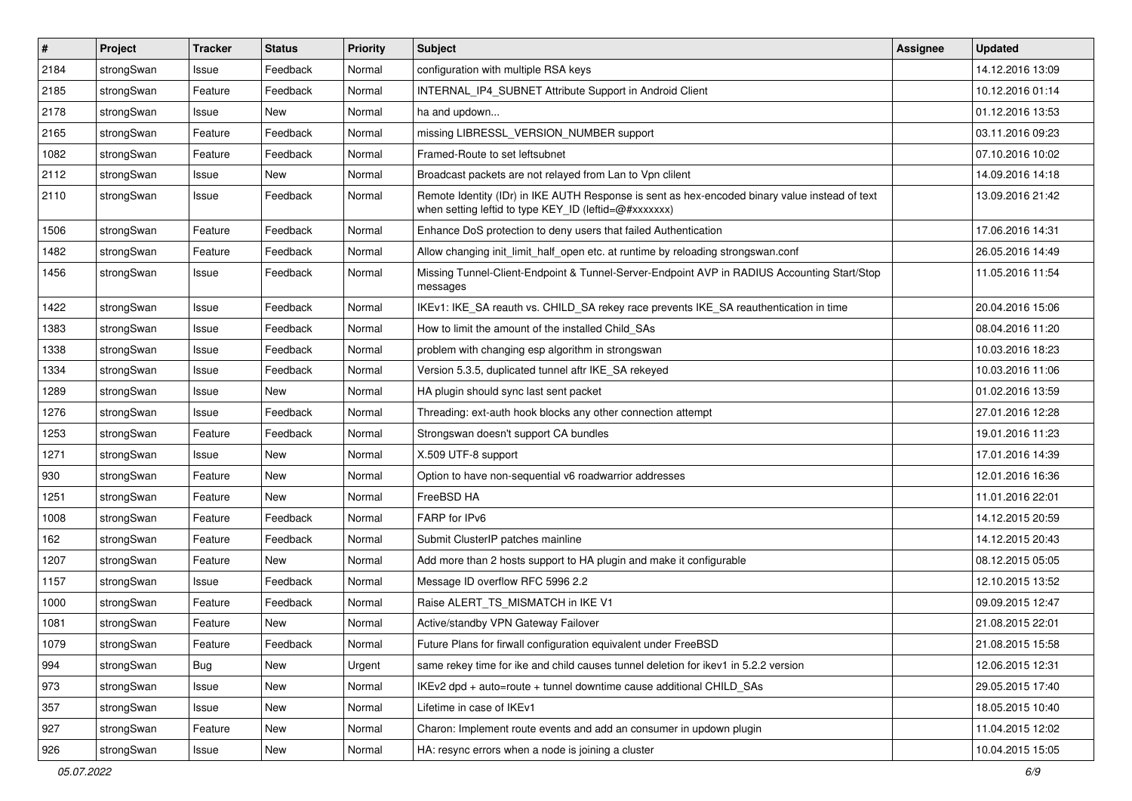| #    | Project    | <b>Tracker</b> | <b>Status</b> | <b>Priority</b> | <b>Subject</b>                                                                                                                                          | <b>Assignee</b> | <b>Updated</b>   |
|------|------------|----------------|---------------|-----------------|---------------------------------------------------------------------------------------------------------------------------------------------------------|-----------------|------------------|
| 2184 | strongSwan | Issue          | Feedback      | Normal          | configuration with multiple RSA keys                                                                                                                    |                 | 14.12.2016 13:09 |
| 2185 | strongSwan | Feature        | Feedback      | Normal          | INTERNAL IP4 SUBNET Attribute Support in Android Client                                                                                                 |                 | 10.12.2016 01:14 |
| 2178 | strongSwan | Issue          | New           | Normal          | ha and updown                                                                                                                                           |                 | 01.12.2016 13:53 |
| 2165 | strongSwan | Feature        | Feedback      | Normal          | missing LIBRESSL_VERSION_NUMBER support                                                                                                                 |                 | 03.11.2016 09:23 |
| 1082 | strongSwan | Feature        | Feedback      | Normal          | Framed-Route to set leftsubnet                                                                                                                          |                 | 07.10.2016 10:02 |
| 2112 | strongSwan | Issue          | New           | Normal          | Broadcast packets are not relayed from Lan to Vpn clilent                                                                                               |                 | 14.09.2016 14:18 |
| 2110 | strongSwan | Issue          | Feedback      | Normal          | Remote Identity (IDr) in IKE AUTH Response is sent as hex-encoded binary value instead of text<br>when setting leftid to type KEY_ID (leftid=@#xxxxxxx) |                 | 13.09.2016 21:42 |
| 1506 | strongSwan | Feature        | Feedback      | Normal          | Enhance DoS protection to deny users that failed Authentication                                                                                         |                 | 17.06.2016 14:31 |
| 1482 | strongSwan | Feature        | Feedback      | Normal          | Allow changing init_limit_half_open etc. at runtime by reloading strongswan.conf                                                                        |                 | 26.05.2016 14:49 |
| 1456 | strongSwan | Issue          | Feedback      | Normal          | Missing Tunnel-Client-Endpoint & Tunnel-Server-Endpoint AVP in RADIUS Accounting Start/Stop<br>messages                                                 |                 | 11.05.2016 11:54 |
| 1422 | strongSwan | Issue          | Feedback      | Normal          | IKEv1: IKE_SA reauth vs. CHILD_SA rekey race prevents IKE_SA reauthentication in time                                                                   |                 | 20.04.2016 15:06 |
| 1383 | strongSwan | Issue          | Feedback      | Normal          | How to limit the amount of the installed Child SAs                                                                                                      |                 | 08.04.2016 11:20 |
| 1338 | strongSwan | Issue          | Feedback      | Normal          | problem with changing esp algorithm in strongswan                                                                                                       |                 | 10.03.2016 18:23 |
| 1334 | strongSwan | Issue          | Feedback      | Normal          | Version 5.3.5, duplicated tunnel aftr IKE_SA rekeyed                                                                                                    |                 | 10.03.2016 11:06 |
| 1289 | strongSwan | Issue          | New           | Normal          | HA plugin should sync last sent packet                                                                                                                  |                 | 01.02.2016 13:59 |
| 1276 | strongSwan | Issue          | Feedback      | Normal          | Threading: ext-auth hook blocks any other connection attempt                                                                                            |                 | 27.01.2016 12:28 |
| 1253 | strongSwan | Feature        | Feedback      | Normal          | Strongswan doesn't support CA bundles                                                                                                                   |                 | 19.01.2016 11:23 |
| 1271 | strongSwan | Issue          | New           | Normal          | X.509 UTF-8 support                                                                                                                                     |                 | 17.01.2016 14:39 |
| 930  | strongSwan | Feature        | <b>New</b>    | Normal          | Option to have non-sequential v6 roadwarrior addresses                                                                                                  |                 | 12.01.2016 16:36 |
| 1251 | strongSwan | Feature        | New           | Normal          | FreeBSD HA                                                                                                                                              |                 | 11.01.2016 22:01 |
| 1008 | strongSwan | Feature        | Feedback      | Normal          | FARP for IPv6                                                                                                                                           |                 | 14.12.2015 20:59 |
| 162  | strongSwan | Feature        | Feedback      | Normal          | Submit ClusterIP patches mainline                                                                                                                       |                 | 14.12.2015 20:43 |
| 1207 | strongSwan | Feature        | New           | Normal          | Add more than 2 hosts support to HA plugin and make it configurable                                                                                     |                 | 08.12.2015 05:05 |
| 1157 | strongSwan | Issue          | Feedback      | Normal          | Message ID overflow RFC 5996 2.2                                                                                                                        |                 | 12.10.2015 13:52 |
| 1000 | strongSwan | Feature        | Feedback      | Normal          | Raise ALERT_TS_MISMATCH in IKE V1                                                                                                                       |                 | 09.09.2015 12:47 |
| 1081 | strongSwan | Feature        | <b>New</b>    | Normal          | Active/standby VPN Gateway Failover                                                                                                                     |                 | 21.08.2015 22:01 |
| 1079 | strongSwan | Feature        | Feedback      | Normal          | Future Plans for firwall configuration equivalent under FreeBSD                                                                                         |                 | 21.08.2015 15:58 |
| 994  | strongSwan | <b>Bug</b>     | New           | Urgent          | same rekey time for ike and child causes tunnel deletion for ikev1 in 5.2.2 version                                                                     |                 | 12.06.2015 12:31 |
| 973  | strongSwan | Issue          | New           | Normal          | IKEv2 dpd + auto=route + tunnel downtime cause additional CHILD_SAs                                                                                     |                 | 29.05.2015 17:40 |
| 357  | strongSwan | Issue          | New           | Normal          | Lifetime in case of IKEv1                                                                                                                               |                 | 18.05.2015 10:40 |
| 927  | strongSwan | Feature        | New           | Normal          | Charon: Implement route events and add an consumer in updown plugin                                                                                     |                 | 11.04.2015 12:02 |
| 926  | strongSwan | Issue          | New           | Normal          | HA: resync errors when a node is joining a cluster                                                                                                      |                 | 10.04.2015 15:05 |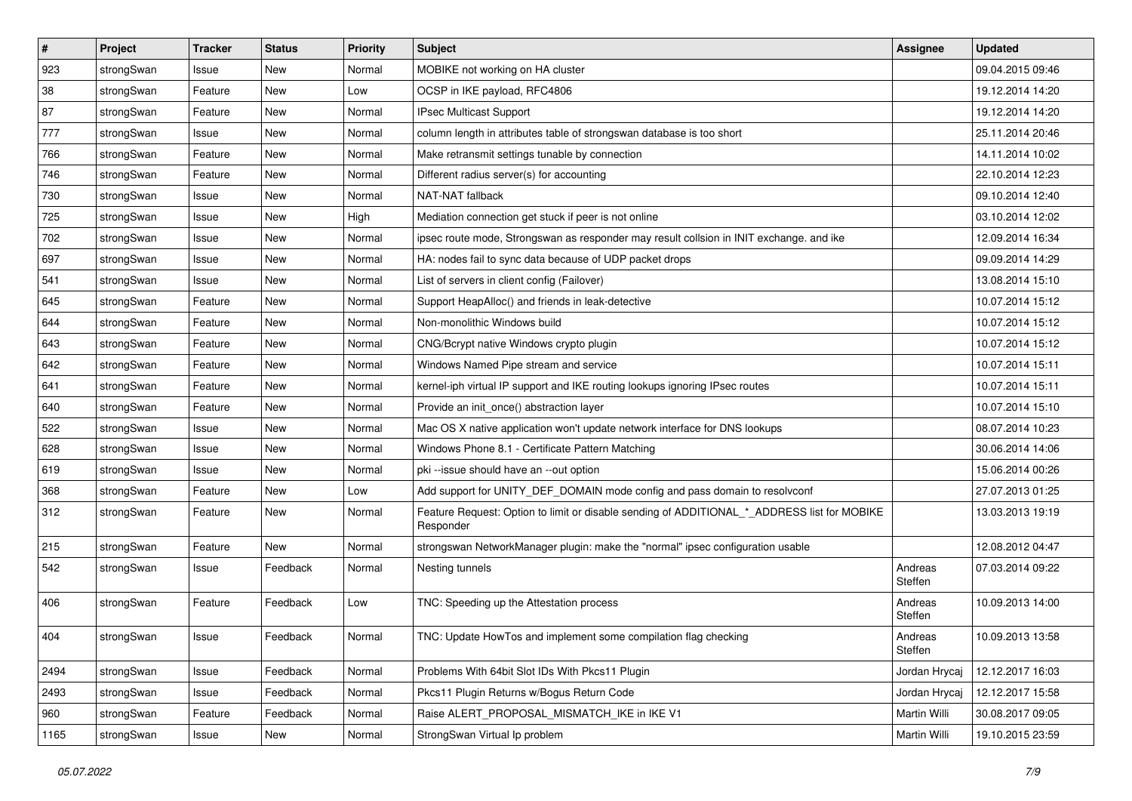| $\sharp$ | Project    | <b>Tracker</b> | <b>Status</b> | <b>Priority</b> | <b>Subject</b>                                                                                           | <b>Assignee</b>    | <b>Updated</b>   |
|----------|------------|----------------|---------------|-----------------|----------------------------------------------------------------------------------------------------------|--------------------|------------------|
| 923      | strongSwan | Issue          | New           | Normal          | MOBIKE not working on HA cluster                                                                         |                    | 09.04.2015 09:46 |
| 38       | strongSwan | Feature        | <b>New</b>    | Low             | OCSP in IKE payload, RFC4806                                                                             |                    | 19.12.2014 14:20 |
| 87       | strongSwan | Feature        | New           | Normal          | IPsec Multicast Support                                                                                  |                    | 19.12.2014 14:20 |
| 777      | strongSwan | Issue          | New           | Normal          | column length in attributes table of strongswan database is too short                                    |                    | 25.11.2014 20:46 |
| 766      | strongSwan | Feature        | <b>New</b>    | Normal          | Make retransmit settings tunable by connection                                                           |                    | 14.11.2014 10:02 |
| 746      | strongSwan | Feature        | New           | Normal          | Different radius server(s) for accounting                                                                |                    | 22.10.2014 12:23 |
| 730      | strongSwan | Issue          | <b>New</b>    | Normal          | NAT-NAT fallback                                                                                         |                    | 09.10.2014 12:40 |
| 725      | strongSwan | Issue          | New           | High            | Mediation connection get stuck if peer is not online                                                     |                    | 03.10.2014 12:02 |
| 702      | strongSwan | Issue          | New           | Normal          | ipsec route mode, Strongswan as responder may result collsion in INIT exchange. and ike                  |                    | 12.09.2014 16:34 |
| 697      | strongSwan | Issue          | <b>New</b>    | Normal          | HA: nodes fail to sync data because of UDP packet drops                                                  |                    | 09.09.2014 14:29 |
| 541      | strongSwan | Issue          | New           | Normal          | List of servers in client config (Failover)                                                              |                    | 13.08.2014 15:10 |
| 645      | strongSwan | Feature        | <b>New</b>    | Normal          | Support HeapAlloc() and friends in leak-detective                                                        |                    | 10.07.2014 15:12 |
| 644      | strongSwan | Feature        | New           | Normal          | Non-monolithic Windows build                                                                             |                    | 10.07.2014 15:12 |
| 643      | strongSwan | Feature        | New           | Normal          | CNG/Bcrypt native Windows crypto plugin                                                                  |                    | 10.07.2014 15:12 |
| 642      | strongSwan | Feature        | <b>New</b>    | Normal          | Windows Named Pipe stream and service                                                                    |                    | 10.07.2014 15:11 |
| 641      | strongSwan | Feature        | New           | Normal          | kernel-iph virtual IP support and IKE routing lookups ignoring IPsec routes                              |                    | 10.07.2014 15:11 |
| 640      | strongSwan | Feature        | New           | Normal          | Provide an init_once() abstraction layer                                                                 |                    | 10.07.2014 15:10 |
| 522      | strongSwan | Issue          | <b>New</b>    | Normal          | Mac OS X native application won't update network interface for DNS lookups                               |                    | 08.07.2014 10:23 |
| 628      | strongSwan | Issue          | New           | Normal          | Windows Phone 8.1 - Certificate Pattern Matching                                                         |                    | 30.06.2014 14:06 |
| 619      | strongSwan | Issue          | New           | Normal          | pki --issue should have an --out option                                                                  |                    | 15.06.2014 00:26 |
| 368      | strongSwan | Feature        | New           | Low             | Add support for UNITY_DEF_DOMAIN mode config and pass domain to resolvconf                               |                    | 27.07.2013 01:25 |
| 312      | strongSwan | Feature        | New           | Normal          | Feature Request: Option to limit or disable sending of ADDITIONAL_*_ADDRESS list for MOBIKE<br>Responder |                    | 13.03.2013 19:19 |
| 215      | strongSwan | Feature        | <b>New</b>    | Normal          | strongswan NetworkManager plugin: make the "normal" ipsec configuration usable                           |                    | 12.08.2012 04:47 |
| 542      | strongSwan | Issue          | Feedback      | Normal          | Nesting tunnels                                                                                          | Andreas<br>Steffen | 07.03.2014 09:22 |
| 406      | strongSwan | Feature        | Feedback      | Low             | TNC: Speeding up the Attestation process                                                                 | Andreas<br>Steffen | 10.09.2013 14:00 |
| 404      | strongSwan | Issue          | Feedback      | Normal          | TNC: Update HowTos and implement some compilation flag checking                                          | Andreas<br>Steffen | 10.09.2013 13:58 |
| 2494     | strongSwan | Issue          | Feedback      | Normal          | Problems With 64bit Slot IDs With Pkcs11 Plugin                                                          | Jordan Hrycaj      | 12.12.2017 16:03 |
| 2493     | strongSwan | Issue          | Feedback      | Normal          | Pkcs11 Plugin Returns w/Bogus Return Code                                                                | Jordan Hrycaj      | 12.12.2017 15:58 |
| 960      | strongSwan | Feature        | Feedback      | Normal          | Raise ALERT_PROPOSAL_MISMATCH_IKE in IKE V1                                                              | Martin Willi       | 30.08.2017 09:05 |
| 1165     | strongSwan | Issue          | New           | Normal          | StrongSwan Virtual Ip problem                                                                            | Martin Willi       | 19.10.2015 23:59 |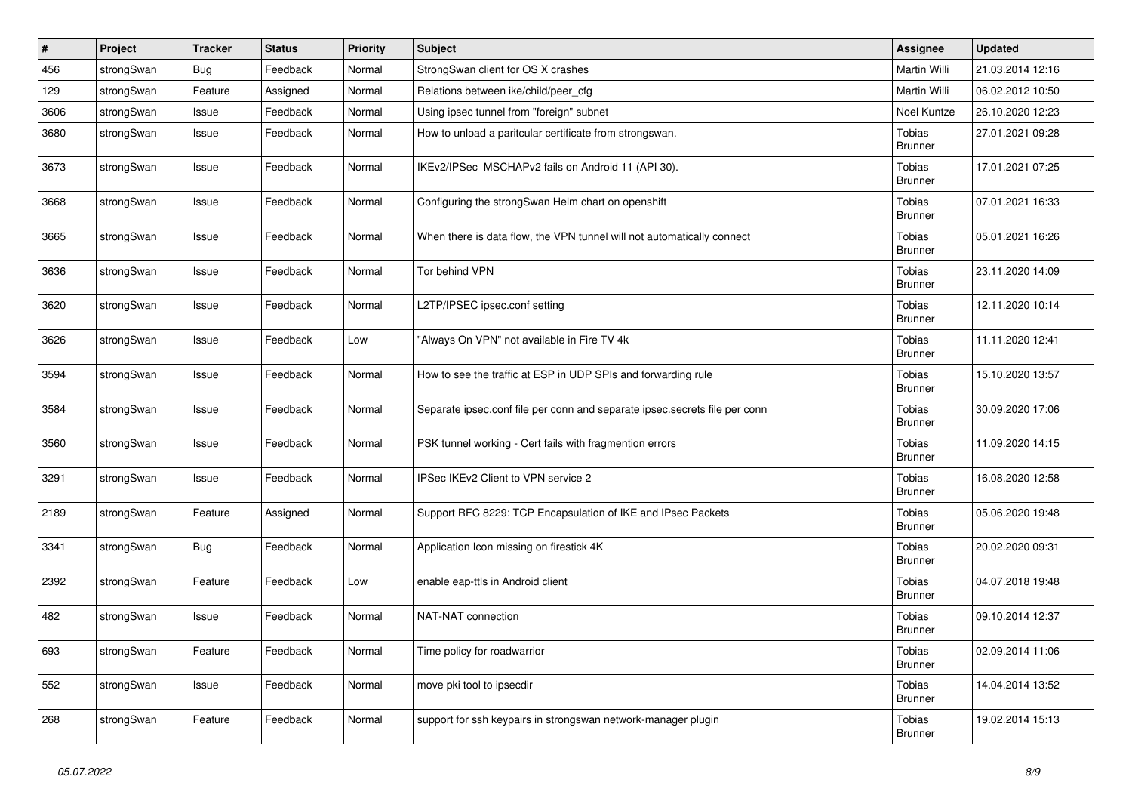| $\#$ | Project    | Tracker    | <b>Status</b> | <b>Priority</b> | Subject                                                                    | <b>Assignee</b>          | <b>Updated</b>   |
|------|------------|------------|---------------|-----------------|----------------------------------------------------------------------------|--------------------------|------------------|
| 456  | strongSwan | Bug        | Feedback      | Normal          | StrongSwan client for OS X crashes                                         | Martin Willi             | 21.03.2014 12:16 |
| 129  | strongSwan | Feature    | Assigned      | Normal          | Relations between ike/child/peer_cfg                                       | Martin Willi             | 06.02.2012 10:50 |
| 3606 | strongSwan | Issue      | Feedback      | Normal          | Using ipsec tunnel from "foreign" subnet                                   | Noel Kuntze              | 26.10.2020 12:23 |
| 3680 | strongSwan | Issue      | Feedback      | Normal          | How to unload a paritcular certificate from strongswan.                    | Tobias<br><b>Brunner</b> | 27.01.2021 09:28 |
| 3673 | strongSwan | Issue      | Feedback      | Normal          | IKEv2/IPSec MSCHAPv2 fails on Android 11 (API 30).                         | Tobias<br><b>Brunner</b> | 17.01.2021 07:25 |
| 3668 | strongSwan | Issue      | Feedback      | Normal          | Configuring the strongSwan Helm chart on openshift                         | Tobias<br><b>Brunner</b> | 07.01.2021 16:33 |
| 3665 | strongSwan | Issue      | Feedback      | Normal          | When there is data flow, the VPN tunnel will not automatically connect     | Tobias<br><b>Brunner</b> | 05.01.2021 16:26 |
| 3636 | strongSwan | Issue      | Feedback      | Normal          | Tor behind VPN                                                             | Tobias<br><b>Brunner</b> | 23.11.2020 14:09 |
| 3620 | strongSwan | Issue      | Feedback      | Normal          | L2TP/IPSEC ipsec.conf setting                                              | Tobias<br><b>Brunner</b> | 12.11.2020 10:14 |
| 3626 | strongSwan | Issue      | Feedback      | Low             | "Always On VPN" not available in Fire TV 4k                                | Tobias<br><b>Brunner</b> | 11.11.2020 12:41 |
| 3594 | strongSwan | Issue      | Feedback      | Normal          | How to see the traffic at ESP in UDP SPIs and forwarding rule              | Tobias<br>Brunner        | 15.10.2020 13:57 |
| 3584 | strongSwan | Issue      | Feedback      | Normal          | Separate ipsec.conf file per conn and separate ipsec.secrets file per conn | Tobias<br><b>Brunner</b> | 30.09.2020 17:06 |
| 3560 | strongSwan | Issue      | Feedback      | Normal          | PSK tunnel working - Cert fails with fragmention errors                    | Tobias<br><b>Brunner</b> | 11.09.2020 14:15 |
| 3291 | strongSwan | Issue      | Feedback      | Normal          | IPSec IKEv2 Client to VPN service 2                                        | Tobias<br><b>Brunner</b> | 16.08.2020 12:58 |
| 2189 | strongSwan | Feature    | Assigned      | Normal          | Support RFC 8229: TCP Encapsulation of IKE and IPsec Packets               | Tobias<br><b>Brunner</b> | 05.06.2020 19:48 |
| 3341 | strongSwan | <b>Bug</b> | Feedback      | Normal          | Application Icon missing on firestick 4K                                   | Tobias<br><b>Brunner</b> | 20.02.2020 09:31 |
| 2392 | strongSwan | Feature    | Feedback      | Low             | enable eap-ttls in Android client                                          | Tobias<br><b>Brunner</b> | 04.07.2018 19:48 |
| 482  | strongSwan | Issue      | Feedback      | Normal          | NAT-NAT connection                                                         | Tobias<br><b>Brunner</b> | 09.10.2014 12:37 |
| 693  | strongSwan | Feature    | Feedback      | Normal          | Time policy for roadwarrior                                                | Tobias<br><b>Brunner</b> | 02.09.2014 11:06 |
| 552  | strongSwan | Issue      | Feedback      | Normal          | move pki tool to ipsecdir                                                  | Tobias<br><b>Brunner</b> | 14.04.2014 13:52 |
| 268  | strongSwan | Feature    | Feedback      | Normal          | support for ssh keypairs in strongswan network-manager plugin              | Tobias<br><b>Brunner</b> | 19.02.2014 15:13 |